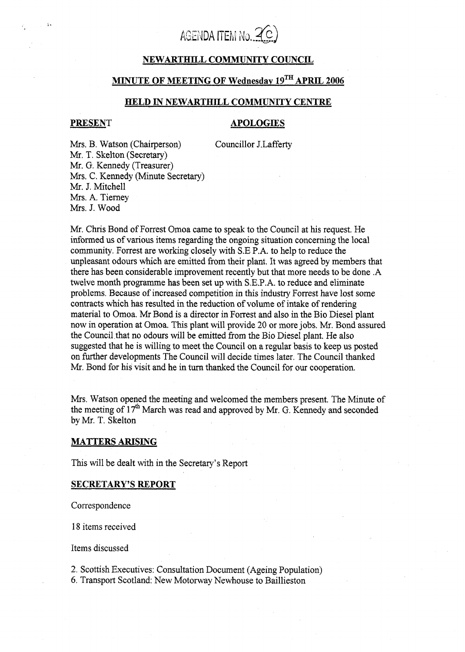

# **NEWARTHILL COMMUNITY COUNCIL**

# **MINUTE OF MEETING OF Wednesdav lgTH APRlL 2006**

#### **HELD IN NEWARTHILL COMMUNITY CENTRE**

'.

# **PRESENT APOLOGIES**

Councillor J.Lafferty

Mrs. B. Watson (Chairperson) Mr. T. Skelton (Secretary) **Mr.** G. Kennedy (Treasurer) Mrs. C. Kennedy (Minute Secretary) Mr. J. Mitchell Mrs. **A.** Tierney **Mrs.** J. Wood

Mr. Chris Bond of Forrest Omoa came to speak to the Council at his request. He informed us of various items regarding the ongoing situation concerning the local community. Forrest are working closely with S.E **P.A.** to help to reduce the unpleasant odours which are emitted from their plant. It was agreed by members that there has been considerable improvement recently but that more needs to be done **.A**  twelve month programme has been set up with S.E.P.A. to reduce and eliminate problems. Because of increased competition in this industry Forrest have lost some contracts which has resulted in the reduction of volume of intake of rendering material to Omoa. **Mr** Bond is a director in Forrest and also in the Bio Diesel plant now in operation at Omoa. This plant will provide 20 or more jobs. Mr. Bond assured the Council that no odours will be emitted from the Bio Diesel plant. He also suggested that he is willing to meet the Council on a regular basis to keep us posted on fixther developments The Council will decide times later. The Council thanked **Mr.** Bond for his visit and he in turn thanked the Council for our cooperation.

**Mrs.** Watson opened the meeting and welcomed the members present. The Minute of the meeting of 17<sup>th</sup> March was read and approved by Mr. G. Kennedy and seconded by Mr. **T.** Skelton

# **MATTERS ARISING**

This will be dealt with in the Secretary's Report

#### **SECRETARY'S REPORT**

Correspondence

18 items received

Items discussed

2. Scottish Executives: Consultation Document (Ageing Population)

*6.* Transport Scotland: New Motorway Newhouse to Baillieston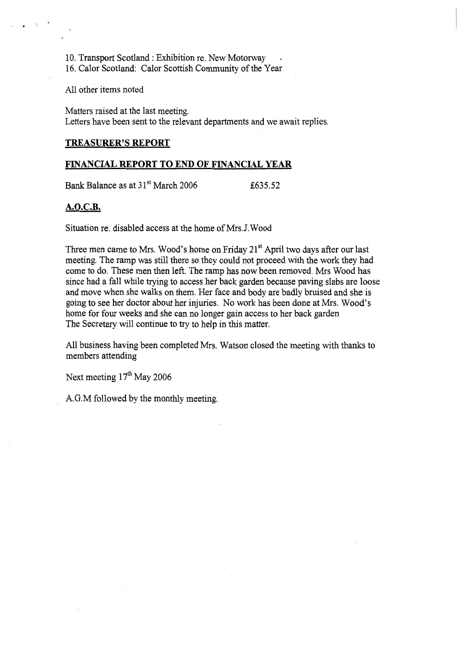10. Transport Scotland : Exhibition re. New Motorway .

16. Calor Scotland: Calor Scottish Community of the Year

All other items noted

**L** 

Matters raised at the last meeting. Letters have been sent to the relevant departments and we await replies.

# **TREASITRER'S REPORT**

### **FINANCIAL REPORT TO END OF FINANCIAL YEAR**

Bank Balance as at  $31^{st}$  March 2006  $\qquad 635.52$ 

#### **A.O.C.B.**

Situation re. disabled access at the home of Mrs.J. Wood

Three men came to Mrs. Wood's home on Friday 21<sup>st</sup> April two days after our last meeting. The ramp was still there so they could not proceed with the work they had come to do. These men then left. The ramp has now been removed. Mrs Wood has since had a fall while trying to access her back garden because paving slabs are loose and move when she walks on them. Her face and body are badly bruised and she is going to see her doctor about her injuries. No work has been done at Mrs. Wood's home for four weeks and she can no longer gain access to her back garden The Secretary will continue to try to help in this matter.

**All** business having been completed Mrs. Watson closed the meeting with thanks to members attending

Next meeting  $17<sup>th</sup>$  May 2006

A.G.M followed by the monthly meeting.